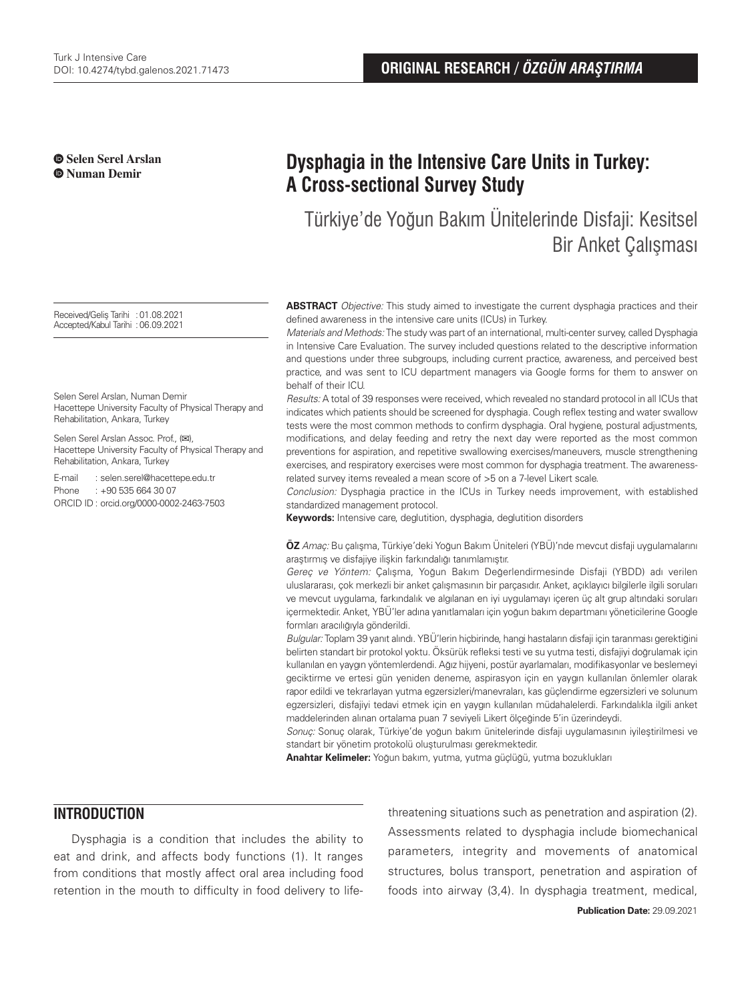**Selen Serel Arslan Numan Demir**

# **Dysphagia in the Intensive Care Units in Turkey: A Cross-sectional Survey Study**

Türkiye'de Yoğun Bakım Ünitelerinde Disfaji: Kesitsel Bir Anket Çalışması

**ABSTRACT** Objective: This study aimed to investigate the current dysphagia practices and their defined awareness in the intensive care units (ICUs) in Turkey.

Materials and Methods: The study was part of an international, multi-center survey, called Dysphagia in Intensive Care Evaluation. The survey included questions related to the descriptive information and questions under three subgroups, including current practice, awareness, and perceived best practice, and was sent to ICU department managers via Google forms for them to answer on behalf of their ICU.

Results: A total of 39 responses were received, which revealed no standard protocol in all ICUs that indicates which patients should be screened for dysphagia. Cough reflex testing and water swallow tests were the most common methods to confirm dysphagia. Oral hygiene, postural adjustments, modifications, and delay feeding and retry the next day were reported as the most common preventions for aspiration, and repetitive swallowing exercises/maneuvers, muscle strengthening exercises, and respiratory exercises were most common for dysphagia treatment. The awarenessrelated survey items revealed a mean score of >5 on a 7-level Likert scale.

Conclusion: Dysphagia practice in the ICUs in Turkey needs improvement, with established standardized management protocol.

**Keywords:** Intensive care, deglutition, dysphagia, deglutition disorders

**ÖZ** Amaç: Bu çalışma, Türkiye'deki Yoğun Bakım Üniteleri (YBÜ)'nde mevcut disfaji uygulamalarını araştırmış ve disfajiye ilişkin farkındalığı tanımlamıştır.

Gereç ve Yöntem: Çalışma, Yoğun Bakım Değerlendirmesinde Disfaji (YBDD) adı verilen uluslararası, çok merkezli bir anket çalışmasının bir parçasıdır. Anket, açıklayıcı bilgilerle ilgili soruları ve mevcut uygulama, farkındalık ve algılanan en iyi uygulamayı içeren üç alt grup altındaki soruları içermektedir. Anket, YBÜ'ler adına yanıtlamaları için yoğun bakım departmanı yöneticilerine Google formları aracılığıyla gönderildi.

Bulgular: Toplam 39 yanıt alındı. YBÜ'lerin hiçbirinde, hangi hastaların disfaji için taranması gerektiğini belirten standart bir protokol yoktu. Öksürük refleksi testi ve su yutma testi, disfajiyi doğrulamak için kullanılan en yaygın yöntemlerdendi. Ağız hijyeni, postür ayarlamaları, modifikasyonlar ve beslemeyi geciktirme ve ertesi gün yeniden deneme, aspirasyon için en yaygın kullanılan önlemler olarak rapor edildi ve tekrarlayan yutma egzersizleri/manevraları, kas güçlendirme egzersizleri ve solunum egzersizleri, disfajiyi tedavi etmek için en yaygın kullanılan müdahalelerdi. Farkındalıkla ilgili anket maddelerinden alınan ortalama puan 7 seviyeli Likert ölçeğinde 5'in üzerindeydi.

Sonuç: Sonuç olarak, Türkiye'de yoğun bakım ünitelerinde disfaji uygulamasının iyileştirilmesi ve standart bir yönetim protokolü oluşturulması gerekmektedir.

**Anahtar Kelimeler:** Yoğun bakım, yutma, yutma güçlüğü, yutma bozuklukları

### **INTRODUCTION**

Dysphagia is a condition that includes the ability to eat and drink, and affects body functions (1). It ranges from conditions that mostly affect oral area including food retention in the mouth to difficulty in food delivery to lifethreatening situations such as penetration and aspiration (2). Assessments related to dysphagia include biomechanical parameters, integrity and movements of anatomical structures, bolus transport, penetration and aspiration of foods into airway (3,4). In dysphagia treatment, medical,

Received/Geliş Tarihi :01.08.2021 Accepted/Kabul Tarihi :06.09.2021

Selen Serel Arslan, Numan Demir Hacettepe University Faculty of Physical Therapy and Rehabilitation, Ankara, Turkey

Selen Serel Arslan Assoc. Prof., (**✉**), Hacettepe University Faculty of Physical Therapy and Rehabilitation, Ankara, Turkey

E-mail : selen.serel@hacettepe.edu.tr Phone : +90 535 664 30 07 ORCID ID : orcid.org/0000-0002-2463-7503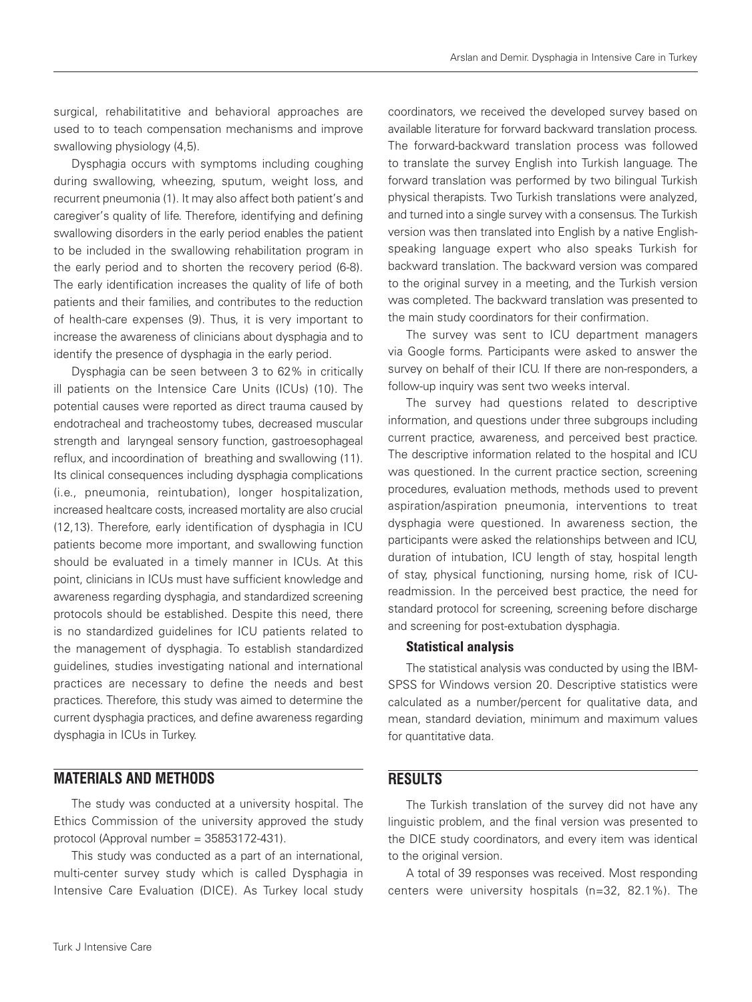surgical, rehabilitatitive and behavioral approaches are used to to teach compensation mechanisms and improve swallowing physiology (4,5).

Dysphagia occurs with symptoms including coughing during swallowing, wheezing, sputum, weight loss, and recurrent pneumonia (1). It may also affect both patient's and caregiver's quality of life. Therefore, identifying and defining swallowing disorders in the early period enables the patient to be included in the swallowing rehabilitation program in the early period and to shorten the recovery period (6-8). The early identification increases the quality of life of both patients and their families, and contributes to the reduction of health-care expenses (9). Thus, it is very important to increase the awareness of clinicians about dysphagia and to identify the presence of dysphagia in the early period.

Dysphagia can be seen between 3 to 62% in critically ill patients on the Intensice Care Units (ICUs) (10). The potential causes were reported as direct trauma caused by endotracheal and tracheostomy tubes, decreased muscular strength and laryngeal sensory function, gastroesophageal reflux, and incoordination of breathing and swallowing (11). Its clinical consequences including dysphagia complications (i.e., pneumonia, reintubation), longer hospitalization, increased healtcare costs, increased mortality are also crucial (12,13). Therefore, early identification of dysphagia in ICU patients become more important, and swallowing function should be evaluated in a timely manner in ICUs. At this point, clinicians in ICUs must have sufficient knowledge and awareness regarding dysphagia, and standardized screening protocols should be established. Despite this need, there is no standardized guidelines for ICU patients related to the management of dysphagia. To establish standardized guidelines, studies investigating national and international practices are necessary to define the needs and best practices. Therefore, this study was aimed to determine the current dysphagia practices, and define awareness regarding dysphagia in ICUs in Turkey.

### **MATERIALS AND METHODS**

The study was conducted at a university hospital. The Ethics Commission of the university approved the study protocol (Approval number = 35853172-431).

This study was conducted as a part of an international, multi-center survey study which is called Dysphagia in Intensive Care Evaluation (DICE). As Turkey local study coordinators, we received the developed survey based on available literature for forward backward translation process. The forward-backward translation process was followed to translate the survey English into Turkish language. The forward translation was performed by two bilingual Turkish physical therapists. Two Turkish translations were analyzed, and turned into a single survey with a consensus. The Turkish version was then translated into English by a native Englishspeaking language expert who also speaks Turkish for backward translation. The backward version was compared to the original survey in a meeting, and the Turkish version was completed. The backward translation was presented to the main study coordinators for their confirmation.

The survey was sent to ICU department managers via Google forms. Participants were asked to answer the survey on behalf of their ICU. If there are non-responders, a follow-up inquiry was sent two weeks interval.

The survey had questions related to descriptive information, and questions under three subgroups including current practice, awareness, and perceived best practice. The descriptive information related to the hospital and ICU was questioned. In the current practice section, screening procedures, evaluation methods, methods used to prevent aspiration/aspiration pneumonia, interventions to treat dysphagia were questioned. In awareness section, the participants were asked the relationships between and ICU, duration of intubation, ICU length of stay, hospital length of stay, physical functioning, nursing home, risk of ICUreadmission. In the perceived best practice, the need for standard protocol for screening, screening before discharge and screening for post-extubation dysphagia.

#### Statistical analysis

The statistical analysis was conducted by using the IBM-SPSS for Windows version 20. Descriptive statistics were calculated as a number/percent for qualitative data, and mean, standard deviation, minimum and maximum values for quantitative data.

### **RESULTS**

The Turkish translation of the survey did not have any linguistic problem, and the final version was presented to the DICE study coordinators, and every item was identical to the original version.

A total of 39 responses was received. Most responding centers were university hospitals (n=32, 82.1%). The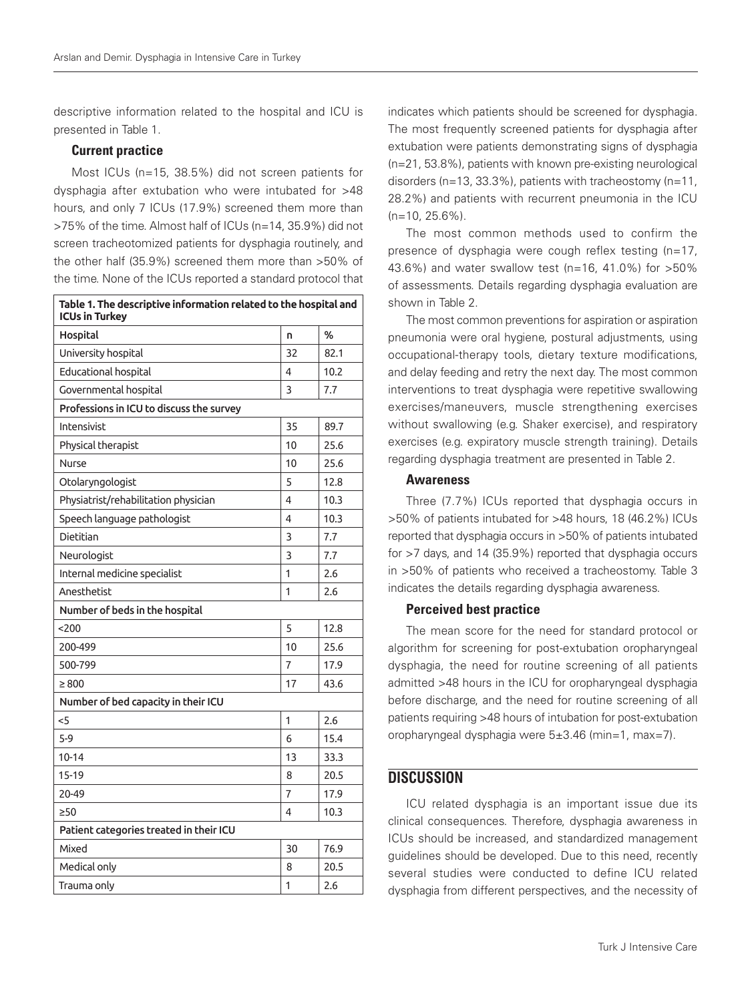descriptive information related to the hospital and ICU is presented in Table 1.

#### Current practice

Most ICUs (n=15, 38.5%) did not screen patients for dysphagia after extubation who were intubated for >48 hours, and only 7 ICUs (17.9%) screened them more than >75% of the time. Almost half of ICUs (n=14, 35.9%) did not screen tracheotomized patients for dysphagia routinely, and the other half (35.9%) screened them more than >50% of the time. None of the ICUs reported a standard protocol that

| Table 1. The descriptive information related to the hospital and<br><b>ICUs in Turkey</b> |    |      |  |  |
|-------------------------------------------------------------------------------------------|----|------|--|--|
| Hospital                                                                                  | n  | %    |  |  |
| University hospital                                                                       | 32 | 82.1 |  |  |
| <b>Educational hospital</b>                                                               | 4  | 10.2 |  |  |
| Governmental hospital                                                                     | 3  | 7.7  |  |  |
| Professions in ICU to discuss the survey                                                  |    |      |  |  |
| Intensivist                                                                               | 35 | 89.7 |  |  |
| Physical therapist                                                                        | 10 | 25.6 |  |  |
| Nurse                                                                                     | 10 | 25.6 |  |  |
| Otolaryngologist                                                                          | 5  | 12.8 |  |  |
| Physiatrist/rehabilitation physician                                                      | 4  | 10.3 |  |  |
| Speech language pathologist                                                               | 4  | 10.3 |  |  |
| Dietitian                                                                                 | 3  | 7.7  |  |  |
| Neurologist                                                                               | 3  | 7.7  |  |  |
| Internal medicine specialist                                                              | 1  | 2.6  |  |  |
| Anesthetist                                                                               | 1  | 2.6  |  |  |
| Number of beds in the hospital                                                            |    |      |  |  |
| 200                                                                                       | 5  | 12.8 |  |  |
| 200-499                                                                                   | 10 | 25.6 |  |  |
| 500-799                                                                                   | 7  | 17.9 |  |  |
| $\geq 800$                                                                                | 17 | 43.6 |  |  |
| Number of bed capacity in their ICU                                                       |    |      |  |  |
| $<$ 5                                                                                     | 1  | 2.6  |  |  |
| $5-9$                                                                                     | 6  | 15.4 |  |  |
| $10 - 14$                                                                                 | 13 | 33.3 |  |  |
| $15-19$                                                                                   | 8  | 20.5 |  |  |
| 20-49                                                                                     | 7  | 17.9 |  |  |
| $\geq 50$                                                                                 | 4  | 10.3 |  |  |
| Patient categories treated in their ICU                                                   |    |      |  |  |
| Mixed                                                                                     | 30 | 76.9 |  |  |
| Medical only                                                                              | 8  | 20.5 |  |  |
| Trauma only                                                                               | 1  | 2.6  |  |  |

indicates which patients should be screened for dysphagia. The most frequently screened patients for dysphagia after extubation were patients demonstrating signs of dysphagia (n=21, 53.8%), patients with known pre-existing neurological disorders (n=13, 33.3%), patients with tracheostomy (n=11, 28.2%) and patients with recurrent pneumonia in the ICU  $(n=10, 25.6\%)$ .

The most common methods used to confirm the presence of dysphagia were cough reflex testing (n=17, 43.6%) and water swallow test (n=16, 41.0%) for >50% of assessments. Details regarding dysphagia evaluation are shown in Table 2.

The most common preventions for aspiration or aspiration pneumonia were oral hygiene, postural adjustments, using occupational-therapy tools, dietary texture modifications, and delay feeding and retry the next day. The most common interventions to treat dysphagia were repetitive swallowing exercises/maneuvers, muscle strengthening exercises without swallowing (e.g. Shaker exercise), and respiratory exercises (e.g. expiratory muscle strength training). Details regarding dysphagia treatment are presented in Table 2.

#### Awareness

Three (7.7%) ICUs reported that dysphagia occurs in >50% of patients intubated for >48 hours, 18 (46.2%) ICUs reported that dysphagia occurs in >50% of patients intubated for >7 days, and 14 (35.9%) reported that dysphagia occurs in >50% of patients who received a tracheostomy. Table 3 indicates the details regarding dysphagia awareness.

#### Perceived best practice

The mean score for the need for standard protocol or algorithm for screening for post-extubation oropharyngeal dysphagia, the need for routine screening of all patients admitted >48 hours in the ICU for oropharyngeal dysphagia before discharge, and the need for routine screening of all patients requiring >48 hours of intubation for post-extubation oropharyngeal dysphagia were 5±3.46 (min=1, max=7).

### **DISCUSSION**

ICU related dysphagia is an important issue due its clinical consequences. Therefore, dysphagia awareness in ICUs should be increased, and standardized management guidelines should be developed. Due to this need, recently several studies were conducted to define ICU related dysphagia from different perspectives, and the necessity of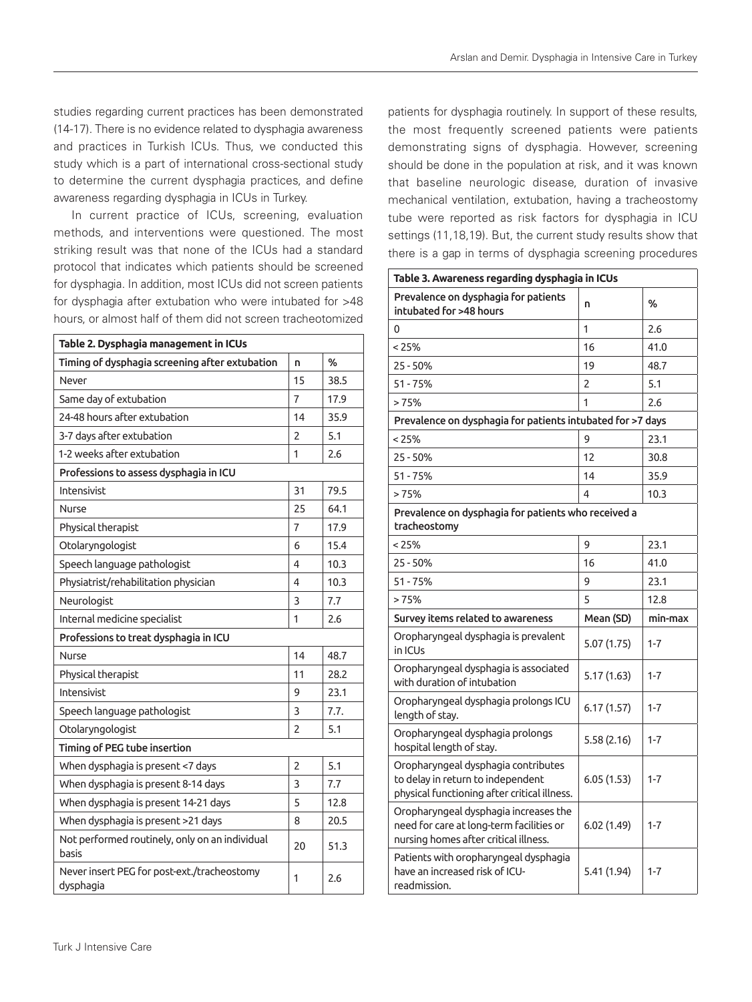studies regarding current practices has been demonstrated (14-17). There is no evidence related to dysphagia awareness and practices in Turkish ICUs. Thus, we conducted this study which is a part of international cross-sectional study to determine the current dysphagia practices, and define awareness regarding dysphagia in ICUs in Turkey.

In current practice of ICUs, screening, evaluation methods, and interventions were questioned. The most striking result was that none of the ICUs had a standard protocol that indicates which patients should be screened for dysphagia. In addition, most ICUs did not screen patients for dysphagia after extubation who were intubated for >48 hours, or almost half of them did not screen tracheotomized

| Table 2. Dysphagia management in ICUs                    |                |      |  |  |
|----------------------------------------------------------|----------------|------|--|--|
| Timing of dysphagia screening after extubation           | n              | %    |  |  |
| Never                                                    | 15             | 38.5 |  |  |
| Same day of extubation                                   | $\overline{7}$ | 17.9 |  |  |
| 24-48 hours after extubation                             | 14             | 35.9 |  |  |
| 3-7 days after extubation                                | 2              | 5.1  |  |  |
| 1-2 weeks after extubation                               | 1              | 2.6  |  |  |
| Professions to assess dysphagia in ICU                   |                |      |  |  |
| Intensivist                                              | 31             | 79.5 |  |  |
| Nurse                                                    | 25             | 64.1 |  |  |
| Physical therapist                                       | 7              | 17.9 |  |  |
| Otolaryngologist                                         | 6              | 15.4 |  |  |
| Speech language pathologist                              | 4              | 10.3 |  |  |
| Physiatrist/rehabilitation physician                     | 4              | 10.3 |  |  |
| Neurologist                                              | 3              | 7.7  |  |  |
| Internal medicine specialist                             | 1              | 2.6  |  |  |
| Professions to treat dysphagia in ICU                    |                |      |  |  |
| Nurse                                                    | 14             | 48.7 |  |  |
| Physical therapist                                       | 11             | 28.2 |  |  |
| Intensivist                                              | 9              | 23.1 |  |  |
| Speech language pathologist                              | 3              | 7.7. |  |  |
| Otolaryngologist                                         | 2              | 5.1  |  |  |
| Timing of PEG tube insertion                             |                |      |  |  |
| When dysphagia is present <7 days                        | $\overline{2}$ | 5.1  |  |  |
| When dysphagia is present 8-14 days                      | 3              | 7.7  |  |  |
| When dysphagia is present 14-21 days                     | 5              | 12.8 |  |  |
| When dysphagia is present >21 days                       | 8              | 20.5 |  |  |
| Not performed routinely, only on an individual<br>basis  | 20             | 51.3 |  |  |
| Never insert PEG for post-ext./tracheostomy<br>dysphagia | 1              | 2.6  |  |  |

patients for dysphagia routinely. In support of these results, the most frequently screened patients were patients demonstrating signs of dysphagia. However, screening should be done in the population at risk, and it was known that baseline neurologic disease, duration of invasive mechanical ventilation, extubation, having a tracheostomy tube were reported as risk factors for dysphagia in ICU settings (11,18,19). But, the current study results show that there is a gap in terms of dysphagia screening procedures

| Table 3. Awareness regarding dysphagia in ICUs                                                                             |             |         |  |  |
|----------------------------------------------------------------------------------------------------------------------------|-------------|---------|--|--|
| Prevalence on dysphagia for patients<br>intubated for >48 hours                                                            | n           | %       |  |  |
| 0                                                                                                                          | 1           | 2.6     |  |  |
| < 25%                                                                                                                      | 16          | 41.0    |  |  |
| $25 - 50%$                                                                                                                 | 19          | 48.7    |  |  |
| $51 - 75%$                                                                                                                 | 2           | 5.1     |  |  |
| >75%                                                                                                                       | 1           | 2.6     |  |  |
| Prevalence on dysphagia for patients intubated for >7 days                                                                 |             |         |  |  |
| $< 25\%$                                                                                                                   | 9           | 23.1    |  |  |
| $25 - 50%$                                                                                                                 | 12          | 30.8    |  |  |
| $51 - 75%$                                                                                                                 | 14          | 35.9    |  |  |
| >75%                                                                                                                       | 4           | 10.3    |  |  |
| Prevalence on dysphagia for patients who received a<br>tracheostomy                                                        |             |         |  |  |
| $< 25\%$                                                                                                                   | 9           | 23.1    |  |  |
| $25 - 50%$                                                                                                                 | 16          | 41.0    |  |  |
| $51 - 75%$                                                                                                                 | 9           | 23.1    |  |  |
| >75%                                                                                                                       | 5           | 12.8    |  |  |
| Survey items related to awareness                                                                                          | Mean (SD)   | min-max |  |  |
| Oropharyngeal dysphagia is prevalent<br>in ICUs                                                                            | 5.07 (1.75) | $1 - 7$ |  |  |
| Oropharyngeal dysphagia is associated<br>with duration of intubation                                                       | 5.17(1.63)  | $1 - 7$ |  |  |
| Oropharyngeal dysphagia prolongs ICU<br>length of stay.                                                                    | 6.17(1.57)  | $1 - 7$ |  |  |
| Oropharyngeal dysphagia prolongs<br>hospital length of stay.                                                               | 5.58 (2.16) | $1 - 7$ |  |  |
| Oropharyngeal dysphagia contributes<br>to delay in return to independent<br>physical functioning after critical illness.   | 6.05(1.53)  | $1 - 7$ |  |  |
| Oropharyngeal dysphagia increases the<br>need for care at long-term facilities or<br>nursing homes after critical illness. | 6.02(1.49)  | $1 - 7$ |  |  |
| Patients with oropharyngeal dysphagia<br>have an increased risk of ICU-<br>readmission.                                    | 5.41 (1.94) | $1 - 7$ |  |  |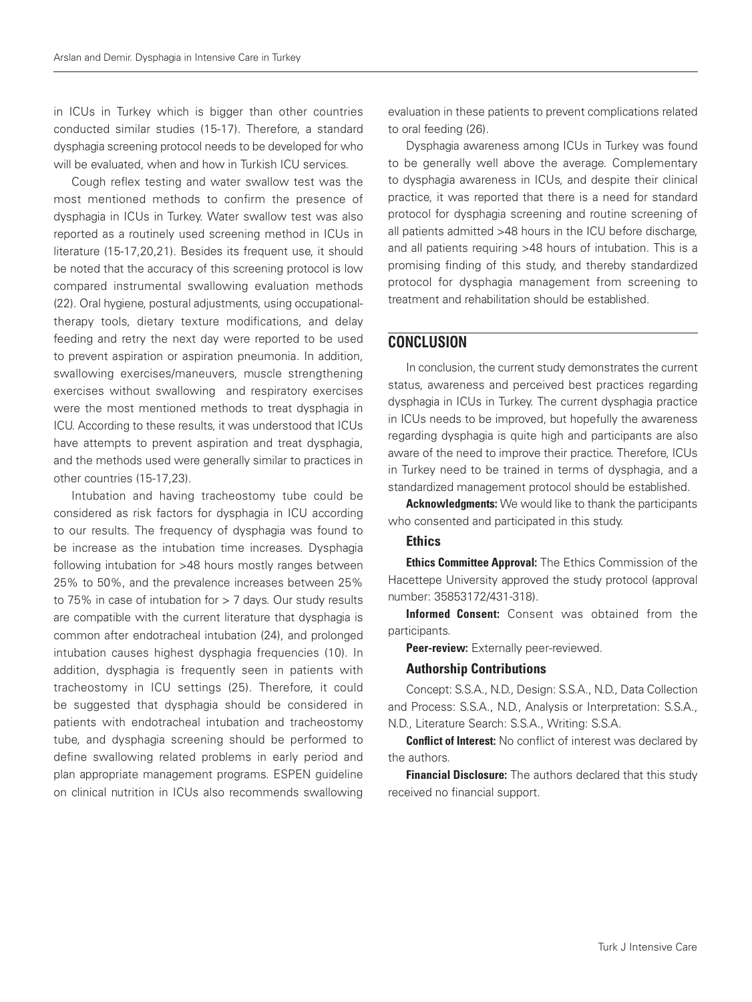in ICUs in Turkey which is bigger than other countries conducted similar studies (15-17). Therefore, a standard dysphagia screening protocol needs to be developed for who will be evaluated, when and how in Turkish ICU services.

Cough reflex testing and water swallow test was the most mentioned methods to confirm the presence of dysphagia in ICUs in Turkey. Water swallow test was also reported as a routinely used screening method in ICUs in literature (15-17,20,21). Besides its frequent use, it should be noted that the accuracy of this screening protocol is low compared instrumental swallowing evaluation methods (22). Oral hygiene, postural adjustments, using occupationaltherapy tools, dietary texture modifications, and delay feeding and retry the next day were reported to be used to prevent aspiration or aspiration pneumonia. In addition, swallowing exercises/maneuvers, muscle strengthening exercises without swallowing and respiratory exercises were the most mentioned methods to treat dysphagia in ICU. According to these results, it was understood that ICUs have attempts to prevent aspiration and treat dysphagia, and the methods used were generally similar to practices in other countries (15-17,23).

Intubation and having tracheostomy tube could be considered as risk factors for dysphagia in ICU according to our results. The frequency of dysphagia was found to be increase as the intubation time increases. Dysphagia following intubation for >48 hours mostly ranges between 25% to 50%, and the prevalence increases between 25% to 75% in case of intubation for > 7 days. Our study results are compatible with the current literature that dysphagia is common after endotracheal intubation (24), and prolonged intubation causes highest dysphagia frequencies (10). In addition, dysphagia is frequently seen in patients with tracheostomy in ICU settings (25). Therefore, it could be suggested that dysphagia should be considered in patients with endotracheal intubation and tracheostomy tube, and dysphagia screening should be performed to define swallowing related problems in early period and plan appropriate management programs. ESPEN guideline on clinical nutrition in ICUs also recommends swallowing

evaluation in these patients to prevent complications related to oral feeding (26).

Dysphagia awareness among ICUs in Turkey was found to be generally well above the average. Complementary to dysphagia awareness in ICUs, and despite their clinical practice, it was reported that there is a need for standard protocol for dysphagia screening and routine screening of all patients admitted >48 hours in the ICU before discharge, and all patients requiring >48 hours of intubation. This is a promising finding of this study, and thereby standardized protocol for dysphagia management from screening to treatment and rehabilitation should be established.

### **CONCLUSION**

In conclusion, the current study demonstrates the current status, awareness and perceived best practices regarding dysphagia in ICUs in Turkey. The current dysphagia practice in ICUs needs to be improved, but hopefully the awareness regarding dysphagia is quite high and participants are also aware of the need to improve their practice. Therefore, ICUs in Turkey need to be trained in terms of dysphagia, and a standardized management protocol should be established.

Acknowledgments: We would like to thank the participants who consented and participated in this study.

#### **Ethics**

Ethics Committee Approval: The Ethics Commission of the Hacettepe University approved the study protocol (approval number: 35853172/431-318).

Informed Consent: Consent was obtained from the participants.

Peer-review: Externally peer-reviewed.

#### Authorship Contributions

Concept: S.S.A., N.D., Design: S.S.A., N.D., Data Collection and Process: S.S.A., N.D., Analysis or Interpretation: S.S.A., N.D., Literature Search: S.S.A., Writing: S.S.A.

**Conflict of Interest:** No conflict of interest was declared by the authors.

Financial Disclosure: The authors declared that this study received no financial support.